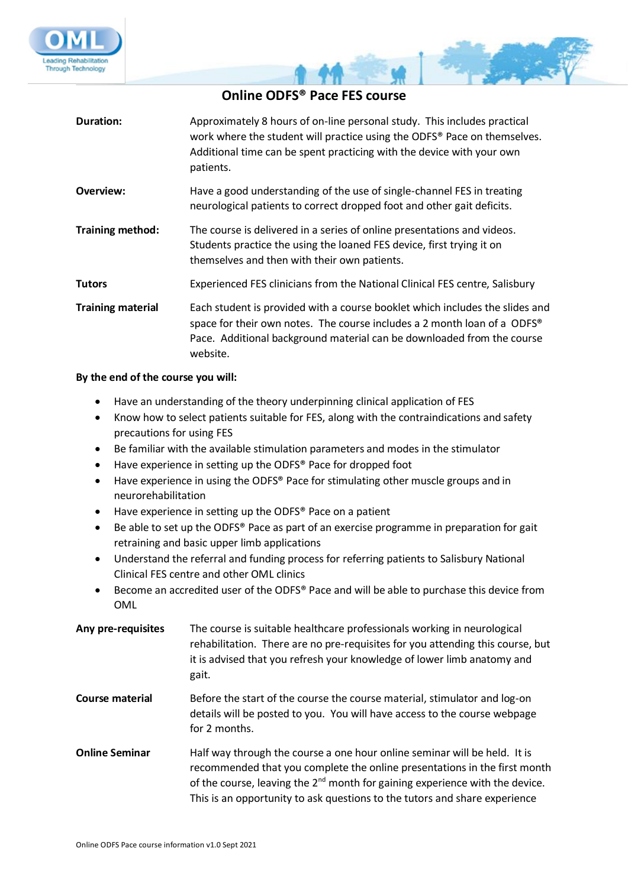



فكالمراجع

| Duration:                | Approximately 8 hours of on-line personal study. This includes practical<br>work where the student will practice using the ODFS® Pace on themselves.<br>Additional time can be spent practicing with the device with your own<br>patients.     |
|--------------------------|------------------------------------------------------------------------------------------------------------------------------------------------------------------------------------------------------------------------------------------------|
| Overview:                | Have a good understanding of the use of single-channel FES in treating<br>neurological patients to correct dropped foot and other gait deficits.                                                                                               |
| Training method:         | The course is delivered in a series of online presentations and videos.<br>Students practice the using the loaned FES device, first trying it on<br>themselves and then with their own patients.                                               |
| <b>Tutors</b>            | Experienced FES clinicians from the National Clinical FES centre, Salisbury                                                                                                                                                                    |
| <b>Training material</b> | Each student is provided with a course booklet which includes the slides and<br>space for their own notes. The course includes a 2 month loan of a ODFS®<br>Pace. Additional background material can be downloaded from the course<br>website. |

## **By the end of the course you will:**

- Have an understanding of the theory underpinning clinical application of FES
- Know how to select patients suitable for FES, along with the contraindications and safety precautions for using FES
- Be familiar with the available stimulation parameters and modes in the stimulator
- Have experience in setting up the ODFS® Pace for dropped foot
- Have experience in using the ODFS® Pace for stimulating other muscle groups and in neurorehabilitation
- Have experience in setting up the ODFS® Pace on a patient
- Be able to set up the ODFS® Pace as part of an exercise programme in preparation for gait retraining and basic upper limb applications
- Understand the referral and funding process for referring patients to Salisbury National Clinical FES centre and other OML clinics
- Become an accredited user of the ODFS® Pace and will be able to purchase this device from OML

| Any pre-requisites     | The course is suitable healthcare professionals working in neurological<br>rehabilitation. There are no pre-requisites for you attending this course, but<br>it is advised that you refresh your knowledge of lower limb anatomy and<br>gait.                                                                             |
|------------------------|---------------------------------------------------------------------------------------------------------------------------------------------------------------------------------------------------------------------------------------------------------------------------------------------------------------------------|
| <b>Course material</b> | Before the start of the course the course material, stimulator and log-on<br>details will be posted to you. You will have access to the course webpage<br>for 2 months.                                                                                                                                                   |
| <b>Online Seminar</b>  | Half way through the course a one hour online seminar will be held. It is<br>recommended that you complete the online presentations in the first month<br>of the course, leaving the $2^{nd}$ month for gaining experience with the device.<br>This is an opportunity to ask questions to the tutors and share experience |